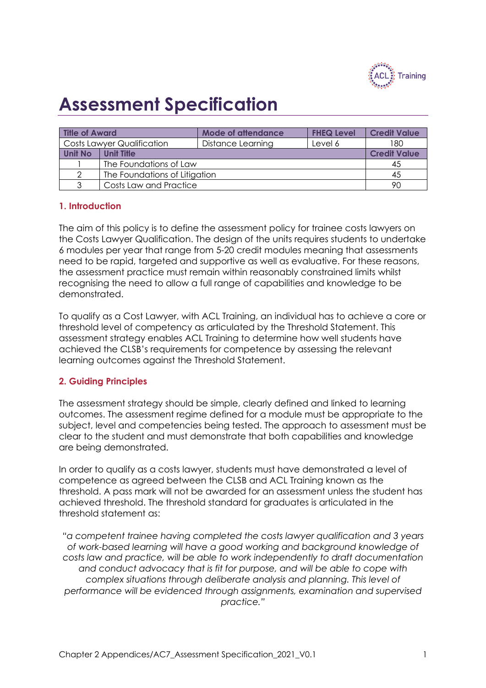

# **Assessment Specification**

| <b>Title of Award</b>             |                     | <b>Mode of attendance</b> | <b>FHEQ Level</b> | <b>Credit Value</b> |
|-----------------------------------|---------------------|---------------------------|-------------------|---------------------|
| <b>Costs Lawyer Qualification</b> |                     | Distance Learning         | Level 6           | 180                 |
| <b>Unit No</b>                    | <b>Credit Value</b> |                           |                   |                     |
|                                   | 45                  |                           |                   |                     |
| 2                                 | 45                  |                           |                   |                     |
| 3                                 | 90                  |                           |                   |                     |

# **1. Introduction**

The aim of this policy is to define the assessment policy for trainee costs lawyers on the Costs Lawyer Qualification. The design of the units requires students to undertake 6 modules per year that range from 5-20 credit modules meaning that assessments need to be rapid, targeted and supportive as well as evaluative. For these reasons, the assessment practice must remain within reasonably constrained limits whilst recognising the need to allow a full range of capabilities and knowledge to be demonstrated.

To qualify as a Cost Lawyer, with ACL Training, an individual has to achieve a core or threshold level of competency as articulated by the Threshold Statement. This assessment strategy enables ACL Training to determine how well students have achieved the CLSB's requirements for competence by assessing the relevant learning outcomes against the Threshold Statement.

# **2. Guiding Principles**

The assessment strategy should be simple, clearly defined and linked to learning outcomes. The assessment regime defined for a module must be appropriate to the subject, level and competencies being tested. The approach to assessment must be clear to the student and must demonstrate that both capabilities and knowledge are being demonstrated.

In order to qualify as a costs lawyer, students must have demonstrated a level of competence as agreed between the CLSB and ACL Training known as the threshold. A pass mark will not be awarded for an assessment unless the student has achieved threshold. The threshold standard for graduates is articulated in the threshold statement as:

*"a competent trainee having completed the costs lawyer qualification and 3 years of work-based learning will have a good working and background knowledge of costs law and practice, will be able to work independently to draft documentation and conduct advocacy that is fit for purpose, and will be able to cope with complex situations through deliberate analysis and planning. This level of performance will be evidenced through assignments, examination and supervised practice."*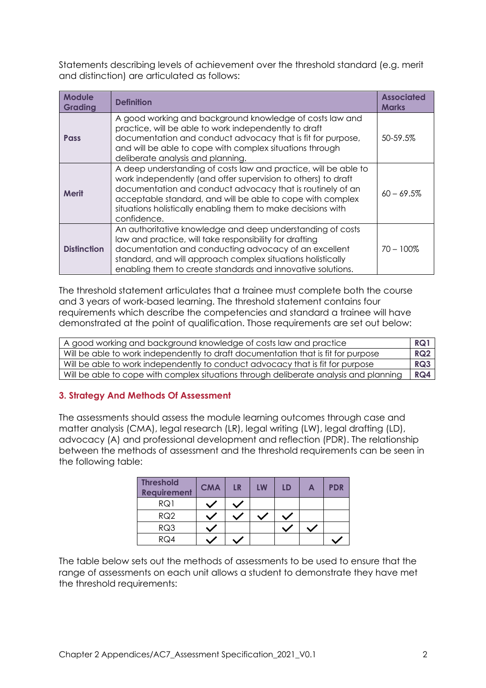Statements describing levels of achievement over the threshold standard (e.g. merit and distinction) are articulated as follows:

| <b>Module</b><br><b>Grading</b> | <b>Definition</b>                                                                                                                                                                                                                                                                                                                           | <b>Associated</b><br><b>Marks</b> |
|---------------------------------|---------------------------------------------------------------------------------------------------------------------------------------------------------------------------------------------------------------------------------------------------------------------------------------------------------------------------------------------|-----------------------------------|
| <b>Pass</b>                     | A good working and background knowledge of costs law and<br>practice, will be able to work independently to draft<br>documentation and conduct advocacy that is fit for purpose,<br>and will be able to cope with complex situations through<br>deliberate analysis and planning.                                                           | 50-59.5%                          |
| <b>Merit</b>                    | A deep understanding of costs law and practice, will be able to<br>work independently (and offer supervision to others) to draft<br>documentation and conduct advocacy that is routinely of an<br>acceptable standard, and will be able to cope with complex<br>situations holistically enabling them to make decisions with<br>confidence. | $60 - 69.5%$                      |
| <b>Distinction</b>              | An authoritative knowledge and deep understanding of costs<br>law and practice, will take responsibility for drafting<br>documentation and conducting advocacy of an excellent<br>standard, and will approach complex situations holistically<br>enabling them to create standards and innovative solutions.                                | $70 - 100\%$                      |

The threshold statement articulates that a trainee must complete both the course and 3 years of work-based learning. The threshold statement contains four requirements which describe the competencies and standard a trainee will have demonstrated at the point of qualification. Those requirements are set out below:

| A good working and background knowledge of costs law and practice                     |            |
|---------------------------------------------------------------------------------------|------------|
| Will be able to work independently to draft documentation that is fit for purpose     | <b>RQ2</b> |
| Will be able to work independently to conduct advocacy that is fit for purpose        |            |
| Will be able to cope with complex situations through deliberate analysis and planning | RQ4        |

# **3. Strategy And Methods Of Assessment**

The assessments should assess the module learning outcomes through case and matter analysis (CMA), legal research (LR), legal writing (LW), legal drafting (LD), advocacy (A) and professional development and reflection (PDR). The relationship between the methods of assessment and the threshold requirements can be seen in the following table:

| <b>Threshold</b><br><b>Requirement</b> | <b>CMA</b> | LR | LW | LD | A | <b>PDR</b> |
|----------------------------------------|------------|----|----|----|---|------------|
| RQ1                                    |            |    |    |    |   |            |
| RQ2                                    |            |    |    |    |   |            |
| RQ3                                    |            |    |    |    |   |            |
| RO4                                    |            |    |    |    |   |            |

The table below sets out the methods of assessments to be used to ensure that the range of assessments on each unit allows a student to demonstrate they have met the threshold requirements: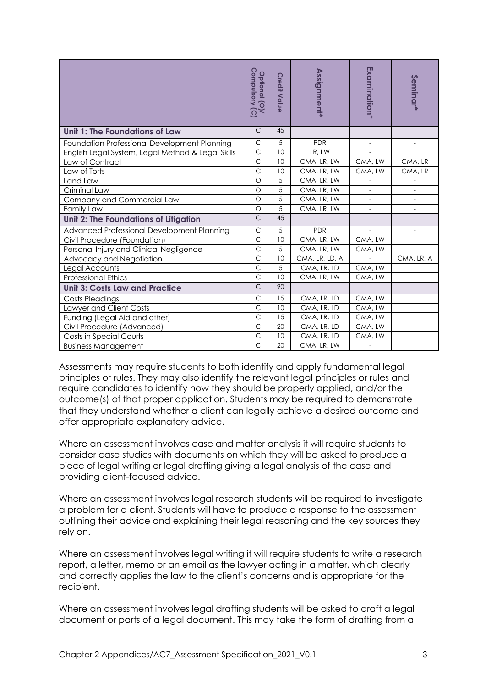|                                                                                                                                                                                                                                                                                                                                                                                                                                                                                                                                                                                           | Compulsory (C)<br>Optional (O)/ | <b>Credit Value</b> | <b>Assignment*</b>         | Examination*             | Seminar <sup>*</sup>     |  |
|-------------------------------------------------------------------------------------------------------------------------------------------------------------------------------------------------------------------------------------------------------------------------------------------------------------------------------------------------------------------------------------------------------------------------------------------------------------------------------------------------------------------------------------------------------------------------------------------|---------------------------------|---------------------|----------------------------|--------------------------|--------------------------|--|
| <b>Unit 1: The Foundations of Law</b>                                                                                                                                                                                                                                                                                                                                                                                                                                                                                                                                                     | $\mathsf C$                     | 45                  |                            |                          |                          |  |
| Foundation Professional Development Planning                                                                                                                                                                                                                                                                                                                                                                                                                                                                                                                                              | $\mathsf{C}$                    | 5                   | <b>PDR</b>                 | $\overline{\phantom{a}}$ | $\frac{1}{2}$            |  |
| English Legal System, Legal Method & Legal Skills                                                                                                                                                                                                                                                                                                                                                                                                                                                                                                                                         | $\mathsf{C}$                    | 10                  | LR, LW                     |                          |                          |  |
| Law of Contract                                                                                                                                                                                                                                                                                                                                                                                                                                                                                                                                                                           | $\mathsf C$                     | 10                  | CMA, LR, LW                | CMA, LW                  | CMA, LR                  |  |
| Law of Torts                                                                                                                                                                                                                                                                                                                                                                                                                                                                                                                                                                              | $\overline{C}$                  | 10                  | CMA, LR, LW                | CMA, LW                  | CMA, LR                  |  |
| Land Law                                                                                                                                                                                                                                                                                                                                                                                                                                                                                                                                                                                  | $\circ$                         | 5                   | CMA, LR, LW                |                          | $\overline{\phantom{a}}$ |  |
| Criminal Law                                                                                                                                                                                                                                                                                                                                                                                                                                                                                                                                                                              | $\circ$                         | 5                   | CMA, LR, LW                | $\overline{\phantom{0}}$ |                          |  |
| Company and Commercial Law                                                                                                                                                                                                                                                                                                                                                                                                                                                                                                                                                                | $\circ$                         | 5                   | CMA, LR, LW                |                          |                          |  |
| Family Law                                                                                                                                                                                                                                                                                                                                                                                                                                                                                                                                                                                | $\circ$                         | 5                   | CMA, LR, LW                |                          |                          |  |
| <b>Unit 2: The Foundations of Litigation</b>                                                                                                                                                                                                                                                                                                                                                                                                                                                                                                                                              | $\mathsf C$                     | 45                  |                            |                          |                          |  |
| Advanced Professional Development Planning                                                                                                                                                                                                                                                                                                                                                                                                                                                                                                                                                | $\mathsf C$                     | 5                   | <b>PDR</b>                 |                          | $\overline{\phantom{a}}$ |  |
| Civil Procedure (Foundation)                                                                                                                                                                                                                                                                                                                                                                                                                                                                                                                                                              | $\overline{C}$                  | 10                  | CMA, LR, LW                | CMA, LW                  |                          |  |
| Personal Injury and Clinical Negligence                                                                                                                                                                                                                                                                                                                                                                                                                                                                                                                                                   | $\overline{C}$                  | 5                   | CMA, LR, LW                | CMA, LW                  |                          |  |
| Advocacy and Negotiation                                                                                                                                                                                                                                                                                                                                                                                                                                                                                                                                                                  | $\mathsf{C}$                    | 10                  | CMA, LR, LD, A             |                          | CMA, LR, A               |  |
| Legal Accounts                                                                                                                                                                                                                                                                                                                                                                                                                                                                                                                                                                            | $\overline{C}$                  | 5                   | CMA, LR, LD                | CMA, LW                  |                          |  |
| <b>Professional Ethics</b>                                                                                                                                                                                                                                                                                                                                                                                                                                                                                                                                                                | $\mathsf{C}$                    | 10                  | CMA, LR, LW                | CMA, LW                  |                          |  |
| <b>Unit 3: Costs Law and Practice</b>                                                                                                                                                                                                                                                                                                                                                                                                                                                                                                                                                     | $\mathsf C$                     | 90                  |                            |                          |                          |  |
| <b>Costs Pleadings</b>                                                                                                                                                                                                                                                                                                                                                                                                                                                                                                                                                                    | $\mathsf C$                     | 15                  | CMA, LR, LD                | CMA, LW                  |                          |  |
| Lawyer and Client Costs                                                                                                                                                                                                                                                                                                                                                                                                                                                                                                                                                                   | $\overline{C}$                  | 10                  | CMA, LR, LD                | CMA, LW                  |                          |  |
| Funding (Legal Aid and other)                                                                                                                                                                                                                                                                                                                                                                                                                                                                                                                                                             | $\mathsf{C}$                    | 15                  | CMA, LR, LD                | CMA, LW                  |                          |  |
| Civil Procedure (Advanced)                                                                                                                                                                                                                                                                                                                                                                                                                                                                                                                                                                | $\mathsf{C}$                    | 20                  | CMA, LR, LD                | CMA, LW                  |                          |  |
| <b>Costs in Special Courts</b><br><b>Business Management</b>                                                                                                                                                                                                                                                                                                                                                                                                                                                                                                                              | $\mathsf{C}$<br>$\mathsf{C}$    | 10<br>20            | CMA, LR, LD<br>CMA, LR, LW | CMA, LW                  |                          |  |
| require candidates to identify how they should be properly applied, and/or the<br>outcome(s) of that proper application. Students may be required to demonstrate<br>that they understand whether a client can legally achieve a desired outcome and<br>offer appropriate explanatory advice<br>Where an assessment involves case and matter analysis it will require students to<br>consider case studies with documents on which they will be asked to produce a<br>piece of legal writing or legal drafting giving a legal analysis of the case and<br>providing client-focused advice. |                                 |                     |                            |                          |                          |  |
| Where an assessment involves legal research students will be required to investigate<br>a problem for a client. Students will have to produce a response to the assessment<br>outlining their advice and explaining their legal reasoning and the key sources they<br>rely on.                                                                                                                                                                                                                                                                                                            |                                 |                     |                            |                          |                          |  |
| Where an assessment involves legal writing it will require students to write a research<br>report, a letter, memo or an email as the lawyer acting in a matter, which clearly<br>and correctly applies the law to the client's concerns and is appropriate for the<br>recipient.                                                                                                                                                                                                                                                                                                          |                                 |                     |                            |                          |                          |  |
| Where an assessment involves legal drafting students will be asked to draft a legal<br>document or parts of a legal document. This may take the form of drafting from a                                                                                                                                                                                                                                                                                                                                                                                                                   |                                 |                     |                            |                          |                          |  |
| Chapter 2 Appendices/AC7_Assessment Specification_2021_V0.1                                                                                                                                                                                                                                                                                                                                                                                                                                                                                                                               |                                 |                     |                            |                          | 3                        |  |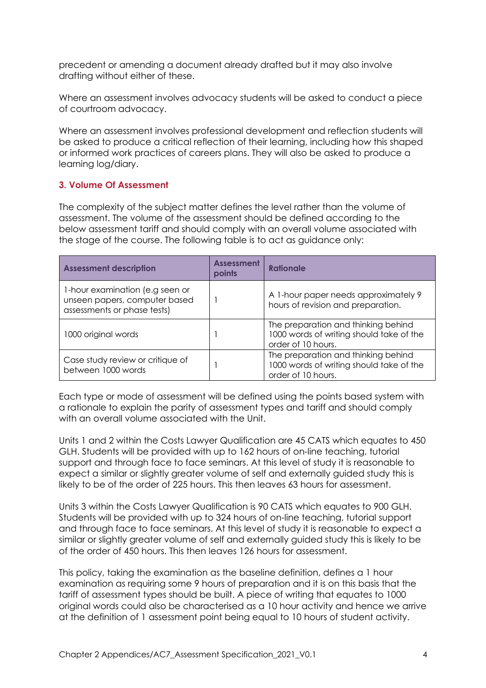precedent or amending a document already drafted but it may also involve drafting without either of these.

Where an assessment involves advocacy students will be asked to conduct a piece of courtroom advocacy.

Where an assessment involves professional development and reflection students will be asked to produce a critical reflection of their learning, including how this shaped or informed work practices of careers plans. They will also be asked to produce a learning log/diary.

#### **3. Volume Of Assessment**

The complexity of the subject matter defines the level rather than the volume of assessment. The volume of the assessment should be defined according to the below assessment tariff and should comply with an overall volume associated with the stage of the course. The following table is to act as guidance only:

| <b>Assessment description</b>                                                                   | <b>Assessment</b><br>points | Rationale                                                                                             |
|-------------------------------------------------------------------------------------------------|-----------------------------|-------------------------------------------------------------------------------------------------------|
| 1-hour examination (e.g seen or<br>unseen papers, computer based<br>assessments or phase tests) |                             | A 1-hour paper needs approximately 9<br>hours of revision and preparation.                            |
| 1000 original words                                                                             |                             | The preparation and thinking behind<br>1000 words of writing should take of the<br>order of 10 hours. |
| Case study review or critique of<br>between 1000 words                                          |                             | The preparation and thinking behind<br>1000 words of writing should take of the<br>order of 10 hours. |

Each type or mode of assessment will be defined using the points based system with a rationale to explain the parity of assessment types and tariff and should comply with an overall volume associated with the Unit.

Units 1 and 2 within the Costs Lawyer Qualification are 45 CATS which equates to 450 GLH. Students will be provided with up to 162 hours of on-line teaching, tutorial support and through face to face seminars. At this level of study it is reasonable to expect a similar or slightly greater volume of self and externally guided study this is likely to be of the order of 225 hours. This then leaves 63 hours for assessment.

Units 3 within the Costs Lawyer Qualification is 90 CATS which equates to 900 GLH. Students will be provided with up to 324 hours of on-line teaching, tutorial support and through face to face seminars. At this level of study it is reasonable to expect a similar or slightly greater volume of self and externally guided study this is likely to be of the order of 450 hours. This then leaves 126 hours for assessment.

This policy, taking the examination as the baseline definition, defines a 1 hour examination as requiring some 9 hours of preparation and it is on this basis that the tariff of assessment types should be built. A piece of writing that equates to 1000 original words could also be characterised as a 10 hour activity and hence we arrive at the definition of 1 assessment point being equal to 10 hours of student activity.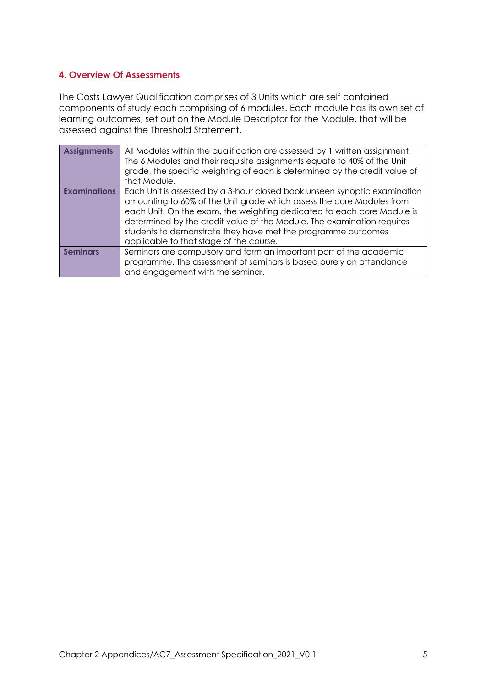# **4. Overview Of Assessments**

The Costs Lawyer Qualification comprises of 3 Units which are self contained components of study each comprising of 6 modules. Each module has its own set of learning outcomes, set out on the Module Descriptor for the Module, that will be assessed against the Threshold Statement.

| <b>Assignments</b>  | All Modules within the qualification are assessed by 1 written assignment.<br>The 6 Modules and their requisite assignments equate to 40% of the Unit<br>grade, the specific weighting of each is determined by the credit value of<br>that Module.                                                                                                                                                               |
|---------------------|-------------------------------------------------------------------------------------------------------------------------------------------------------------------------------------------------------------------------------------------------------------------------------------------------------------------------------------------------------------------------------------------------------------------|
| <b>Examinations</b> | Each Unit is assessed by a 3-hour closed book unseen synoptic examination<br>amounting to 60% of the Unit grade which assess the core Modules from<br>each Unit. On the exam, the weighting dedicated to each core Module is<br>determined by the credit value of the Module. The examination requires<br>students to demonstrate they have met the programme outcomes<br>applicable to that stage of the course. |
| <b>Seminars</b>     | Seminars are compulsory and form an important part of the academic<br>programme. The assessment of seminars is based purely on attendance<br>and engagement with the seminar.                                                                                                                                                                                                                                     |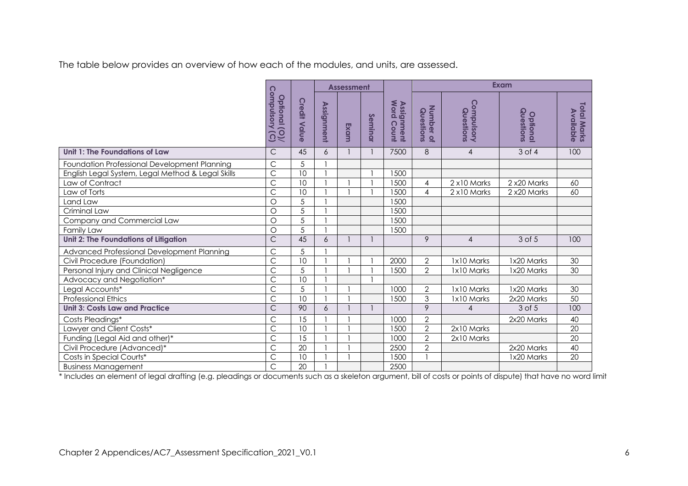The table below provides an overview of how each of the modules, and units, are assessed.

|                                                   |                                                   |                     |                   | <b>Assessment</b> |         |                          |                        | <b>Exam</b>             |                       |                                 |
|---------------------------------------------------|---------------------------------------------------|---------------------|-------------------|-------------------|---------|--------------------------|------------------------|-------------------------|-----------------------|---------------------------------|
|                                                   | Compulsory<br>Optional (O)/<br>$\widehat{\Omega}$ | <b>Credit Value</b> | <b>Assignment</b> | Exam              | Seminar | Assignment<br>Word Count | Number of<br>Questions | Compulsory<br>Questions | Questions<br>Optional | <b>Total Marks</b><br>Available |
| Unit 1: The Foundations of Law                    | $\mathsf{C}$                                      | 45                  | 6                 |                   |         | 7500                     | 8                      | $\overline{4}$          | $3$ of $4$            | 100                             |
| Foundation Professional Development Planning      | C                                                 | 5                   |                   |                   |         |                          |                        |                         |                       |                                 |
| English Legal System, Legal Method & Legal Skills | $\overline{\text{C}}$                             | 10                  |                   |                   |         | 1500                     |                        |                         |                       |                                 |
| Law of Contract                                   | C                                                 | 10                  |                   |                   |         | 1500                     | 4                      | 2 x10 Marks             | 2 x20 Marks           | 60                              |
| Law of Torts                                      | $\overline{\text{C}}$                             | 10                  |                   |                   |         | 1500                     | 4                      | 2 x10 Marks             | 2 x20 Marks           | 60                              |
| Land Law                                          | $\circ$                                           | 5                   |                   |                   |         | 1500                     |                        |                         |                       |                                 |
| Criminal Law                                      | $\circ$                                           | $\overline{5}$      |                   |                   |         | 1500                     |                        |                         |                       |                                 |
| Company and Commercial Law                        | $\circ$                                           | $\overline{5}$      |                   |                   |         | 1500                     |                        |                         |                       |                                 |
| Family Law                                        | $\circ$                                           | 5                   |                   |                   |         | 1500                     |                        |                         |                       |                                 |
| Unit 2: The Foundations of Litigation             | $\overline{C}$                                    | 45                  | 6                 |                   |         |                          | 9                      | $\overline{4}$          | 3 of 5                | 100                             |
| Advanced Professional Development Planning        | C                                                 | 5                   |                   |                   |         |                          |                        |                         |                       |                                 |
| Civil Procedure (Foundation)                      | $\overline{C}$                                    | 10                  |                   |                   |         | 2000                     | $\mathbf{2}$           | 1x10 Marks              | 1x20 Marks            | 30                              |
| Personal Injury and Clinical Negligence           | $\overline{\text{C}}$                             | $\overline{5}$      |                   |                   |         | 1500                     | $\overline{2}$         | 1x10 Marks              | 1x20 Marks            | 30                              |
| Advocacy and Negotiation*                         | C                                                 | 10                  |                   |                   |         |                          |                        |                         |                       |                                 |
| Legal Accounts*                                   | $\overline{\text{C}}$                             | $\overline{5}$      |                   |                   |         | 1000                     | $\overline{2}$         | 1x10 Marks              | 1x20 Marks            | 30                              |
| <b>Professional Ethics</b>                        | $\overline{\text{C}}$                             | 10                  |                   |                   |         | 1500                     | $\mathfrak{Z}$         | 1x10 Marks              | 2x20 Marks            | 50                              |
| <b>Unit 3: Costs Law and Practice</b>             | $\mathsf{C}$                                      | 90                  | 6                 |                   |         |                          | 9                      | $\overline{4}$          | 3 of 5                | 100                             |
| Costs Pleadings*                                  | C                                                 | 15                  |                   |                   |         | 1000                     | $\overline{2}$         |                         | 2x20 Marks            | 40                              |
| Lawyer and Client Costs*                          | C                                                 | 10                  |                   |                   |         | 1500                     | $\overline{2}$         | 2x10 Marks              |                       | 20                              |
| Funding (Legal Aid and other)*                    | $\overline{\text{C}}$                             | 15                  |                   |                   |         | 1000                     | $\overline{2}$         | 2x10 Marks              |                       | 20                              |
| Civil Procedure (Advanced)*                       | C                                                 | 20                  |                   |                   |         | 2500                     | $\overline{2}$         |                         | 2x20 Marks            | 40                              |
| Costs in Special Courts*                          | $\overline{C}$                                    | 10                  |                   |                   |         | 1500                     |                        |                         | 1x20 Marks            | 20                              |
| <b>Business Management</b>                        | $\overline{\text{C}}$                             | 20                  |                   |                   |         | 2500                     |                        |                         |                       |                                 |

\* Includes an element of legal drafting (e.g. pleadings or documents such as a skeleton argument, bill of costs or points of dispute) that have no word limit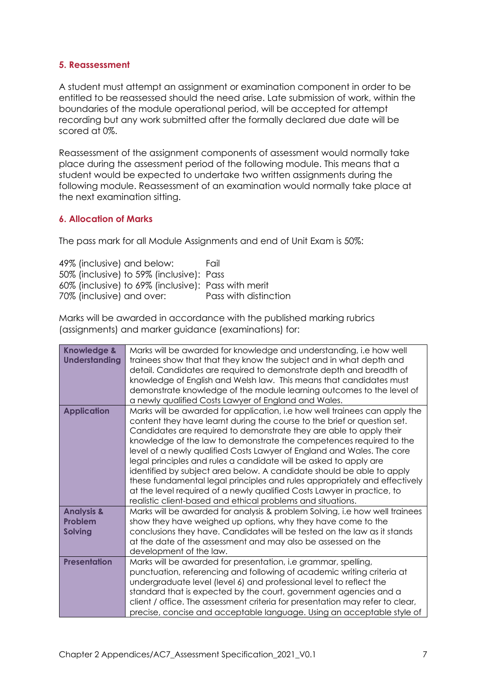#### **5. Reassessment**

A student must attempt an assignment or examination component in order to be entitled to be reassessed should the need arise. Late submission of work, within the boundaries of the module operational period, will be accepted for attempt recording but any work submitted after the formally declared due date will be scored at 0%.

Reassessment of the assignment components of assessment would normally take place during the assessment period of the following module. This means that a student would be expected to undertake two written assignments during the following module. Reassessment of an examination would normally take place at the next examination sitting.

#### **6. Allocation of Marks**

The pass mark for all Module Assignments and end of Unit Exam is 50%:

| 49% (inclusive) and below:                          | Fail                  |
|-----------------------------------------------------|-----------------------|
| 50% (inclusive) to 59% (inclusive): Pass            |                       |
| 60% (inclusive) to 69% (inclusive): Pass with merit |                       |
| 70% (inclusive) and over:                           | Pass with distinction |

Marks will be awarded in accordance with the published marking rubrics (assignments) and marker guidance (examinations) for:

| <b>Knowledge &amp;</b><br><b>Understanding</b> | Marks will be awarded for knowledge and understanding, i.e how well<br>trainees show that that they know the subject and in what depth and<br>detail. Candidates are required to demonstrate depth and breadth of<br>knowledge of English and Welsh law. This means that candidates must<br>demonstrate knowledge of the module learning outcomes to the level of<br>a newly qualified Costs Lawyer of England and Wales.                                                                                                                                                                                                                                                                                                                            |
|------------------------------------------------|------------------------------------------------------------------------------------------------------------------------------------------------------------------------------------------------------------------------------------------------------------------------------------------------------------------------------------------------------------------------------------------------------------------------------------------------------------------------------------------------------------------------------------------------------------------------------------------------------------------------------------------------------------------------------------------------------------------------------------------------------|
| <b>Application</b>                             | Marks will be awarded for application, i.e how well trainees can apply the<br>content they have learnt during the course to the brief or question set.<br>Candidates are required to demonstrate they are able to apply their<br>knowledge of the law to demonstrate the competences required to the<br>level of a newly qualified Costs Lawyer of England and Wales. The core<br>legal principles and rules a candidate will be asked to apply are<br>identified by subject area below. A candidate should be able to apply<br>these fundamental legal principles and rules appropriately and effectively<br>at the level required of a newly qualified Costs Lawyer in practice, to<br>realistic client-based and ethical problems and situations. |
| <b>Analysis &amp;</b>                          | Marks will be awarded for analysis & problem Solving, i.e how well trainees                                                                                                                                                                                                                                                                                                                                                                                                                                                                                                                                                                                                                                                                          |
| Problem<br><b>Solving</b>                      | show they have weighed up options, why they have come to the<br>conclusions they have. Candidates will be tested on the law as it stands                                                                                                                                                                                                                                                                                                                                                                                                                                                                                                                                                                                                             |
|                                                | at the date of the assessment and may also be assessed on the                                                                                                                                                                                                                                                                                                                                                                                                                                                                                                                                                                                                                                                                                        |
| <b>Presentation</b>                            | development of the law.<br>Marks will be awarded for presentation, i.e grammar, spelling,                                                                                                                                                                                                                                                                                                                                                                                                                                                                                                                                                                                                                                                            |
|                                                | punctuation, referencing and following of academic writing criteria at                                                                                                                                                                                                                                                                                                                                                                                                                                                                                                                                                                                                                                                                               |
|                                                | undergraduate level (level 6) and professional level to reflect the                                                                                                                                                                                                                                                                                                                                                                                                                                                                                                                                                                                                                                                                                  |
|                                                | standard that is expected by the court, government agencies and a                                                                                                                                                                                                                                                                                                                                                                                                                                                                                                                                                                                                                                                                                    |
|                                                | client / office. The assessment criteria for presentation may refer to clear,<br>precise, concise and acceptable language. Using an acceptable style of                                                                                                                                                                                                                                                                                                                                                                                                                                                                                                                                                                                              |
|                                                |                                                                                                                                                                                                                                                                                                                                                                                                                                                                                                                                                                                                                                                                                                                                                      |